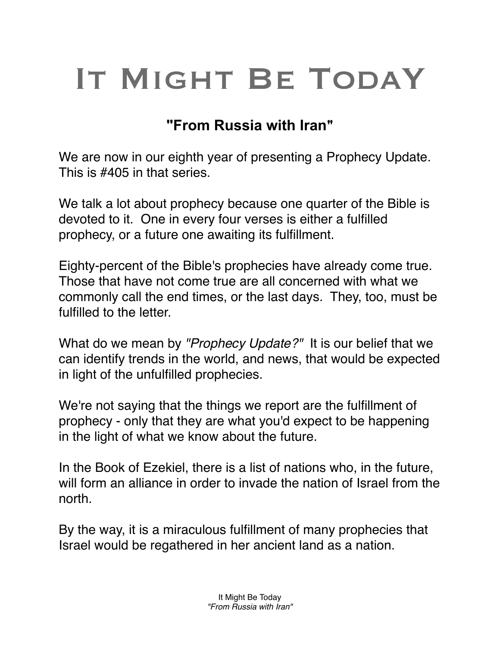## IT MIGHT BE TODAY

## **"From Russia with Iran"**

We are now in our eighth year of presenting a Prophecy Update. This is #405 in that series.

We talk a lot about prophecy because one quarter of the Bible is devoted to it. One in every four verses is either a fulfilled prophecy, or a future one awaiting its fulfillment.

Eighty-percent of the Bible's prophecies have already come true. Those that have not come true are all concerned with what we commonly call the end times, or the last days. They, too, must be fulfilled to the letter.

What do we mean by *"Prophecy Update?"* It is our belief that we can identify trends in the world, and news, that would be expected in light of the unfulfilled prophecies.

We're not saying that the things we report are the fulfillment of prophecy - only that they are what you'd expect to be happening in the light of what we know about the future.

In the Book of Ezekiel, there is a list of nations who, in the future, will form an alliance in order to invade the nation of Israel from the north.

By the way, it is a miraculous fulfillment of many prophecies that Israel would be regathered in her ancient land as a nation.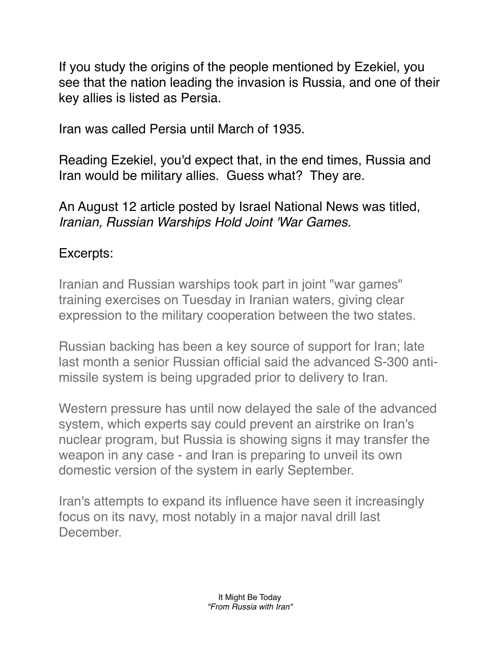If you study the origins of the people mentioned by Ezekiel, you see that the nation leading the invasion is Russia, and one of their key allies is listed as Persia.

Iran was called Persia until March of 1935.

Reading Ezekiel, you'd expect that, in the end times, Russia and Iran would be military allies. Guess what? They are.

An August 12 article posted by Israel National News was titled, *Iranian, Russian Warships Hold Joint 'War Games.*

## Excerpts:

Iranian and Russian warships took part in joint "war games" training exercises on Tuesday in Iranian waters, giving clear expression to the military cooperation between the two states.

Russian backing has been a key source of support for Iran; late last month a senior Russian official said the advanced S-300 antimissile system is being upgraded prior to delivery to Iran.

Western pressure has until now delayed the sale of the advanced system, which experts say could prevent an airstrike on Iran's nuclear program, but Russia is showing signs it may transfer the weapon in any case - and Iran is preparing to unveil its own domestic version of the system in early September.

Iran's attempts to expand its influence have seen it increasingly focus on its navy, most notably in a major naval drill last **December**